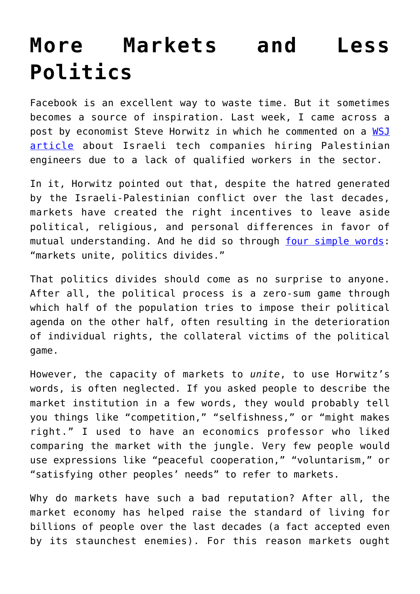## **[More Markets and Less](https://intellectualtakeout.org/2018/11/more-markets-and-less-politics/) [Politics](https://intellectualtakeout.org/2018/11/more-markets-and-less-politics/)**

Facebook is an excellent way to waste time. But it sometimes becomes a source of inspiration. Last week, I came across a post by economist Steve Horwitz in which he commented on a [WSJ](https://www.wsj.com/articles/desperate-for-tech-talent-israel-turns-to-an-untapped-labor-pool-palestinians-1541854800?mod=e2fb&fbclid=IwAR0VExlJjfRC5qHbPAvfuwDx2aiYFvi4mM4gazMWZwE8hrWktxjSXsOJ87s) [article](https://www.wsj.com/articles/desperate-for-tech-talent-israel-turns-to-an-untapped-labor-pool-palestinians-1541854800?mod=e2fb&fbclid=IwAR0VExlJjfRC5qHbPAvfuwDx2aiYFvi4mM4gazMWZwE8hrWktxjSXsOJ87s) about Israeli tech companies hiring Palestinian engineers due to a lack of qualified workers in the sector.

In it, Horwitz pointed out that, despite the hatred generated by the Israeli-Palestinian conflict over the last decades, markets have created the right incentives to leave aside political, religious, and personal differences in favor of mutual understanding. And he did so through [four simple words:](https://www.facebook.com/steve.horwitz/posts/10155915315985334) "markets unite, politics divides."

That politics divides should come as no surprise to anyone. After all, the political process is a zero-sum game through which half of the population tries to impose their political agenda on the other half, often resulting in the deterioration of individual rights, the collateral victims of the political game.

However, the capacity of markets to *unite*, to use Horwitz's words, is often neglected. If you asked people to describe the market institution in a few words, they would probably tell you things like "competition," "selfishness," or "might makes right." I used to have an economics professor who liked comparing the market with the jungle. Very few people would use expressions like "peaceful cooperation," "voluntarism," or "satisfying other peoples' needs" to refer to markets.

Why do markets have such a bad reputation? After all, the market economy has helped raise the standard of living for billions of people over the last decades (a fact accepted even by its staunchest enemies). For this reason markets ought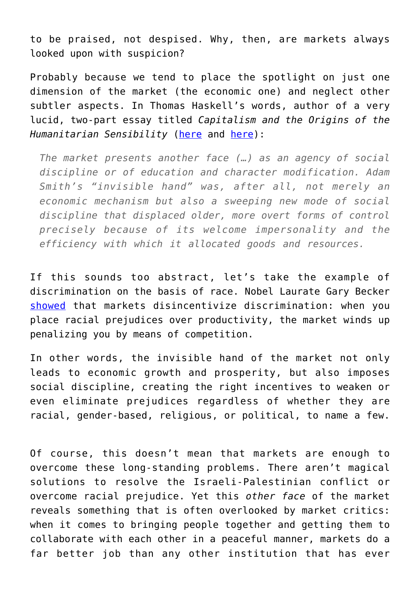to be praised, not despised. Why, then, are markets always looked upon with suspicion?

Probably because we tend to place the spotlight on just one dimension of the market (the economic one) and neglect other subtler aspects. In Thomas Haskell's words, author of a very lucid, two-part essay titled *Capitalism and the Origins of the Humanitarian Sensibility* ([here](https://www.jstor.org/stable/1852669) and [here](https://www.jstor.org/stable/1860956?seq=1#page_scan_tab_contents)):

*The market presents another face (…) as an agency of social discipline or of education and character modification. Adam Smith's "invisible hand" was, after all, not merely an economic mechanism but also a sweeping new mode of social discipline that displaced older, more overt forms of control precisely because of its welcome impersonality and the efficiency with which it allocated goods and resources.*

If this sounds too abstract, let's take the example of discrimination on the basis of race. Nobel Laurate Gary Becker [showed](http://review.chicagobooth.edu/magazine/winter-2014/how-gary-becker-saw-the-scourge-of-discrimination) that markets disincentivize discrimination: when you place racial prejudices over productivity, the market winds up penalizing you by means of competition.

In other words, the invisible hand of the market not only leads to economic growth and prosperity, but also imposes social discipline, creating the right incentives to weaken or even eliminate prejudices regardless of whether they are racial, gender-based, religious, or political, to name a few.

Of course, this doesn't mean that markets are enough to overcome these long-standing problems. There aren't magical solutions to resolve the Israeli-Palestinian conflict or overcome racial prejudice. Yet this *other face* of the market reveals something that is often overlooked by market critics: when it comes to bringing people together and getting them to collaborate with each other in a peaceful manner, markets do a far better job than any other institution that has ever